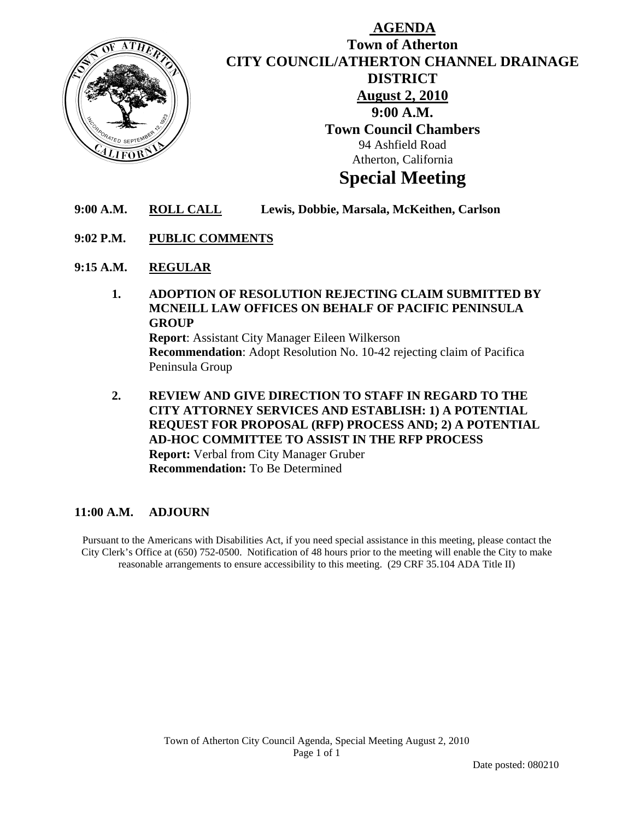

# **AGENDA Town of Atherton CITY COUNCIL/ATHERTON CHANNEL DRAINAGE DISTRICT August 2, 2010 9:00 A.M. Town Council Chambers**  94 Ashfield Road Atherton, California

# **Special Meeting**

- **9:00 A.M. ROLL CALL Lewis, Dobbie, Marsala, McKeithen, Carlson**
- **9:02 P.M. PUBLIC COMMENTS**
- **9:15 A.M. REGULAR**
	- **1. ADOPTION OF RESOLUTION REJECTING CLAIM SUBMITTED BY MCNEILL LAW OFFICES ON BEHALF OF PACIFIC PENINSULA GROUP Report**: Assistant City Manager Eileen Wilkerson **Recommendation**: Adopt Resolution No. 10-42 rejecting claim of Pacifica Peninsula Group
	- **2. REVIEW AND GIVE DIRECTION TO STAFF IN REGARD TO THE CITY ATTORNEY SERVICES AND ESTABLISH: 1) A POTENTIAL REQUEST FOR PROPOSAL (RFP) PROCESS AND; 2) A POTENTIAL AD-HOC COMMITTEE TO ASSIST IN THE RFP PROCESS Report:** Verbal from City Manager Gruber **Recommendation:** To Be Determined

## **11:00 A.M. ADJOURN**

Pursuant to the Americans with Disabilities Act, if you need special assistance in this meeting, please contact the City Clerk's Office at (650) 752-0500. Notification of 48 hours prior to the meeting will enable the City to make reasonable arrangements to ensure accessibility to this meeting. (29 CRF 35.104 ADA Title II)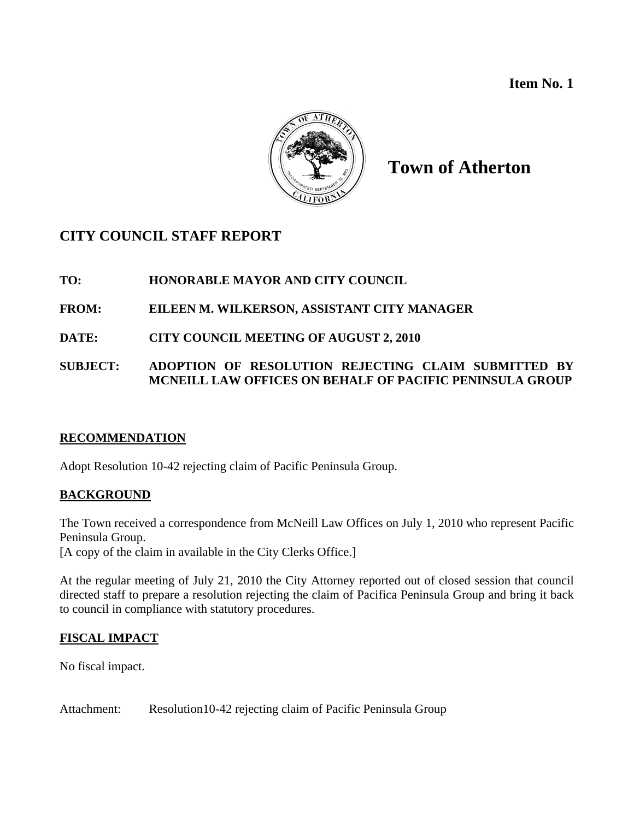**Item No. 1** 



# **Town of Atherton**

# **CITY COUNCIL STAFF REPORT**

## **TO: HONORABLE MAYOR AND CITY COUNCIL**

## **FROM: EILEEN M. WILKERSON, ASSISTANT CITY MANAGER**

## **DATE: CITY COUNCIL MEETING OF AUGUST 2, 2010**

## **SUBJECT: ADOPTION OF RESOLUTION REJECTING CLAIM SUBMITTED BY MCNEILL LAW OFFICES ON BEHALF OF PACIFIC PENINSULA GROUP**

## **RECOMMENDATION**

Adopt Resolution 10-42 rejecting claim of Pacific Peninsula Group.

## **BACKGROUND**

The Town received a correspondence from McNeill Law Offices on July 1, 2010 who represent Pacific Peninsula Group. [A copy of the claim in available in the City Clerks Office.]

At the regular meeting of July 21, 2010 the City Attorney reported out of closed session that council directed staff to prepare a resolution rejecting the claim of Pacifica Peninsula Group and bring it back to council in compliance with statutory procedures.

## **FISCAL IMPACT**

No fiscal impact.

Attachment: Resolution10-42 rejecting claim of Pacific Peninsula Group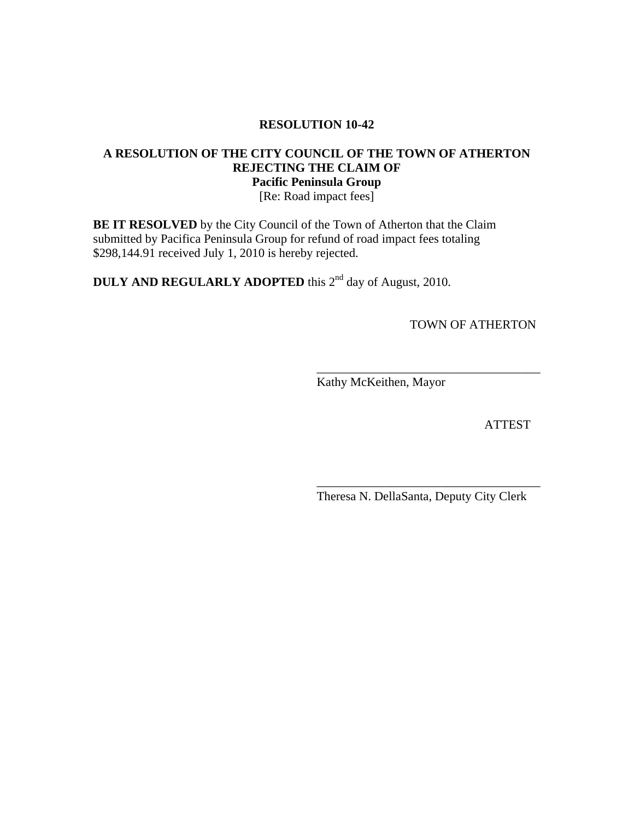## **RESOLUTION 10-42**

## **A RESOLUTION OF THE CITY COUNCIL OF THE TOWN OF ATHERTON REJECTING THE CLAIM OF Pacific Peninsula Group**

[Re: Road impact fees]

 $\overline{\phantom{a}}$  , which is a set of the set of the set of the set of the set of the set of the set of the set of the set of the set of the set of the set of the set of the set of the set of the set of the set of the set of th

 $\overline{\phantom{a}}$  , which is a set of the set of the set of the set of the set of the set of the set of the set of the set of the set of the set of the set of the set of the set of the set of the set of the set of the set of th

**BE IT RESOLVED** by the City Council of the Town of Atherton that the Claim submitted by Pacifica Peninsula Group for refund of road impact fees totaling \$298,144.91 received July 1, 2010 is hereby rejected.

**DULY AND REGULARLY ADOPTED** this 2<sup>nd</sup> day of August, 2010.

TOWN OF ATHERTON

Kathy McKeithen, Mayor

ATTEST

Theresa N. DellaSanta, Deputy City Clerk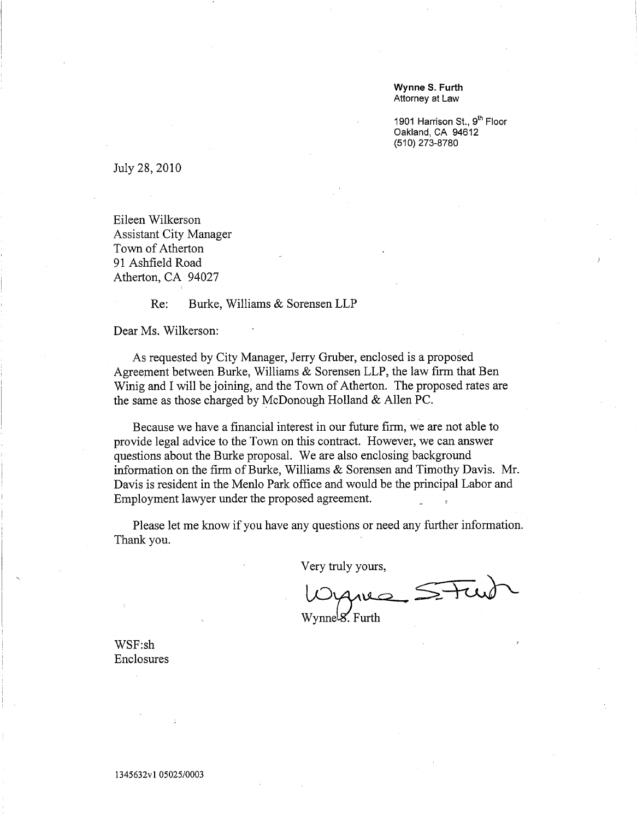Wynne S. Furth Attorney at Law

1901 Harrison St., 9th Floor Oakland, CA 94612 (510) 273-8780

July 28, 2010

Eileen Wilkerson **Assistant City Manager** Town of Atherton 91 Ashfield Road Atherton, CA 94027

> Burke, Williams & Sorensen LLP  $Re:$

Dear Ms. Wilkerson:

As requested by City Manager, Jerry Gruber, enclosed is a proposed Agreement between Burke, Williams & Sorensen LLP, the law firm that Ben Winig and I will be joining, and the Town of Atherton. The proposed rates are the same as those charged by McDonough Holland & Allen PC.

Because we have a financial interest in our future firm, we are not able to provide legal advice to the Town on this contract. However, we can answer questions about the Burke proposal. We are also enclosing background information on the firm of Burke, Williams & Sorensen and Timothy Davis. Mr. Davis is resident in the Menlo Park office and would be the principal Labor and Employment lawyer under the proposed agreement.

Please let me know if you have any questions or need any further information. Thank you.

Very truly yours,

 $\widetilde{\leqslant \pm n}$ 

Wynnels. Furth

WSF:sh Enclosures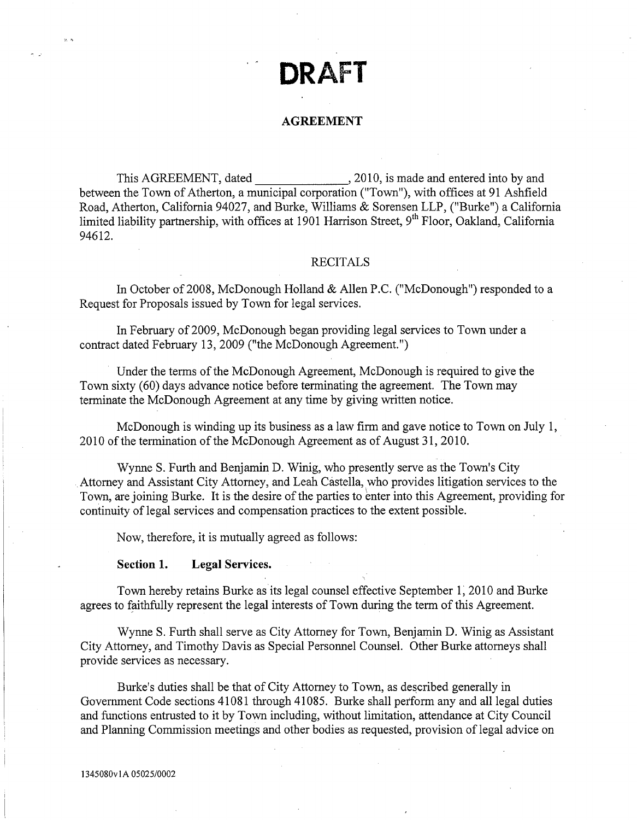# DRAFT

### **AGREEMENT**

Road, Atherton, California 94027, and Burke, Williams & Sorensen LLP, ("Burke") a California limited liability partnership, with offices at 1901 Harrison Street, 9<sup>th</sup> Floor, Oakland, California 94612.

## **RECITALS**

In October of 2008, McDonough Holland & Allen P.C. ("McDonough") responded to a Request for Proposals issued by Town for legal services.

In February of 2009, McDonough began providing legal services to Town under a contract dated February 13, 2009 ("the McDonough Agreement.")

Under the terms of the McDonough Agreement, McDonough is required to give the Town sixty (60) days advance notice before terminating the agreement. The Town may terminate the McDonough Agreement at any time by giving written notice.

McDonough is winding up its business as a law firm and gave notice to Town on July 1. 2010 of the termination of the McDonough Agreement as of August 31, 2010.

Wynne S. Furth and Benjamin D. Winig, who presently serve as the Town's City Attorney and Assistant City Attorney, and Leah Castella, who provides litigation services to the Town, are joining Burke. It is the desire of the parties to enter into this Agreement, providing for continuity of legal services and compensation practices to the extent possible.

Now, therefore, it is mutually agreed as follows:

#### Section 1. **Legal Services.**

Town hereby retains Burke as its legal counsel effective September 1, 2010 and Burke agrees to faithfully represent the legal interests of Town during the term of this Agreement.

Wynne S. Furth shall serve as City Attorney for Town, Benjamin D. Winig as Assistant City Attorney, and Timothy Davis as Special Personnel Counsel. Other Burke attorneys shall provide services as necessary.

Burke's duties shall be that of City Attorney to Town, as described generally in Government Code sections 41081 through 41085. Burke shall perform any and all legal duties and functions entrusted to it by Town including, without limitation, attendance at City Council and Planning Commission meetings and other bodies as requested, provision of legal advice on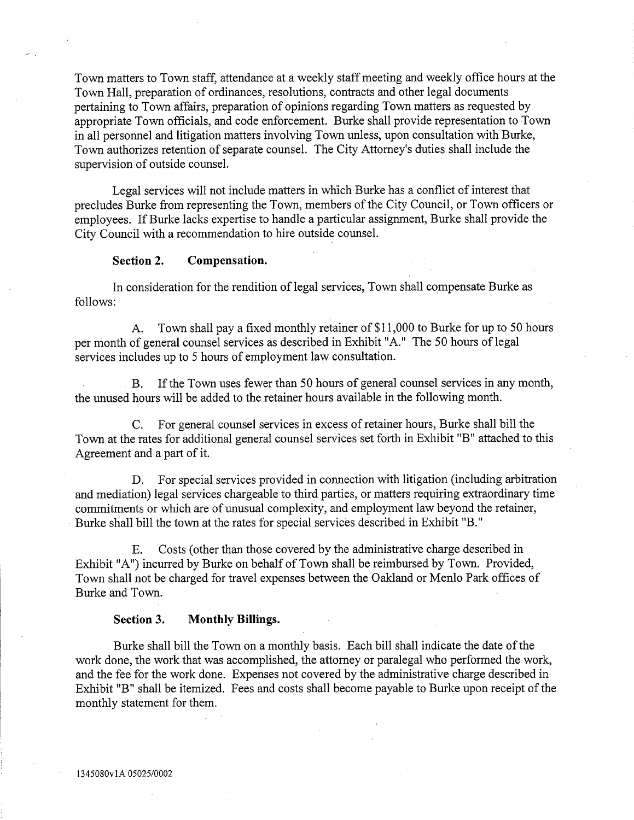Town matters to Town staff, attendance at a weekly staff meeting and weekly office hours at the Town Hall, preparation of ordinances, resolutions, contracts and other legal documents pertaining to Town affairs, preparation of opinions regarding Town matters as requested by appropriate Town officials, and code enforcement. Burke shall provide representation to Town in all personnel and litigation matters involving Town unless, upon consultation with Burke, Town authorizes retention of separate counsel. The City Attorney's duties shall include the supervision of outside counsel.

Legal services will not include matters in which Burke has a conflict of interest that precludes Burke from representing the Town, members of the City Council, or Town officers or employees. If Burke lacks expertise to handle a particular assignment, Burke shall provide the City Council with a recommendation to hire outside counsel.

### Compensation. Section 2.

In consideration for the rendition of legal services, Town shall compensate Burke as follows:

Town shall pay a fixed monthly retainer of \$11,000 to Burke for up to 50 hours  $A_{\cdot}$ per month of general counsel services as described in Exhibit "A." The 50 hours of legal services includes up to 5 hours of employment law consultation.

If the Town uses fewer than 50 hours of general counsel services in any month.  $B<sub>r</sub>$ the unused hours will be added to the retainer hours available in the following month.

For general counsel services in excess of retainer hours, Burke shall bill the  $C_{\cdot}$ Town at the rates for additional general counsel services set forth in Exhibit "B" attached to this Agreement and a part of it.

D. For special services provided in connection with litigation (including arbitration and mediation) legal services chargeable to third parties, or matters requiring extraordinary time commitments or which are of unusual complexity, and employment law beyond the retainer, Burke shall bill the town at the rates for special services described in Exhibit "B."

Costs (other than those covered by the administrative charge described in Ε. Exhibit "A") incurred by Burke on behalf of Town shall be reimbursed by Town. Provided, Town shall not be charged for travel expenses between the Oakland or Menlo Park offices of Burke and Town.

### Section 3. **Monthly Billings.**

Burke shall bill the Town on a monthly basis. Each bill shall indicate the date of the work done, the work that was accomplished, the attorney or paralegal who performed the work, and the fee for the work done. Expenses not covered by the administrative charge described in Exhibit "B" shall be itemized. Fees and costs shall become payable to Burke upon receipt of the monthly statement for them.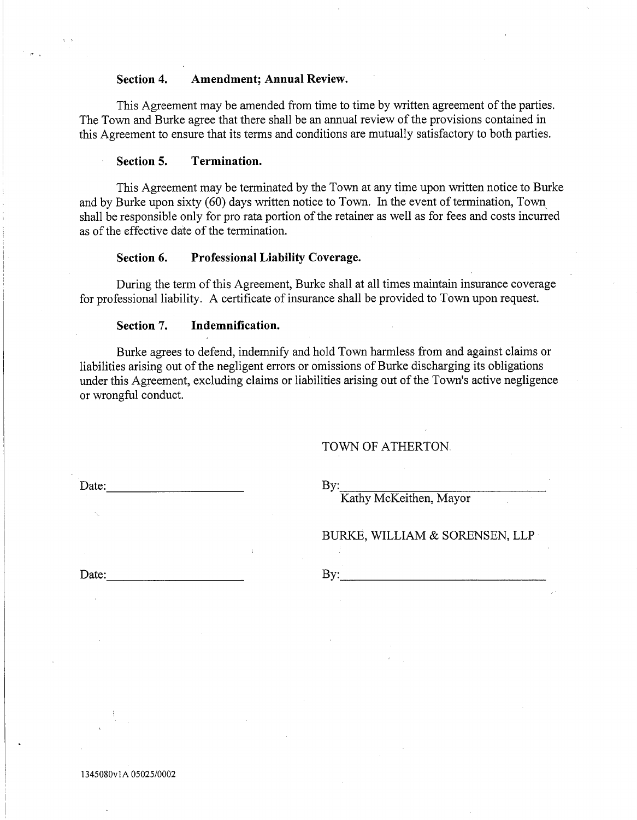### **Amendment; Annual Review.** Section 4.

This Agreement may be amended from time to time by written agreement of the parties. The Town and Burke agree that there shall be an annual review of the provisions contained in this Agreement to ensure that its terms and conditions are mutually satisfactory to both parties.

### Section 5. Termination.

This Agreement may be terminated by the Town at any time upon written notice to Burke and by Burke upon sixty (60) days written notice to Town. In the event of termination, Town shall be responsible only for pro rata portion of the retainer as well as for fees and costs incurred as of the effective date of the termination.

### Section 6. **Professional Liability Coverage.**

During the term of this Agreement, Burke shall at all times maintain insurance coverage for professional liability. A certificate of insurance shall be provided to Town upon request.

### Section 7. Indemnification.

Burke agrees to defend, indemnify and hold Town harmless from and against claims or liabilities arising out of the negligent errors or omissions of Burke discharging its obligations under this Agreement, excluding claims or liabilities arising out of the Town's active negligence or wrongful conduct.

## TOWN OF ATHERTON.

Date:

By:

Kathy McKeithen, Mayor

BURKE, WILLIAM & SORENSEN, LLP

Date:

By:

1345080v1A 05025/0002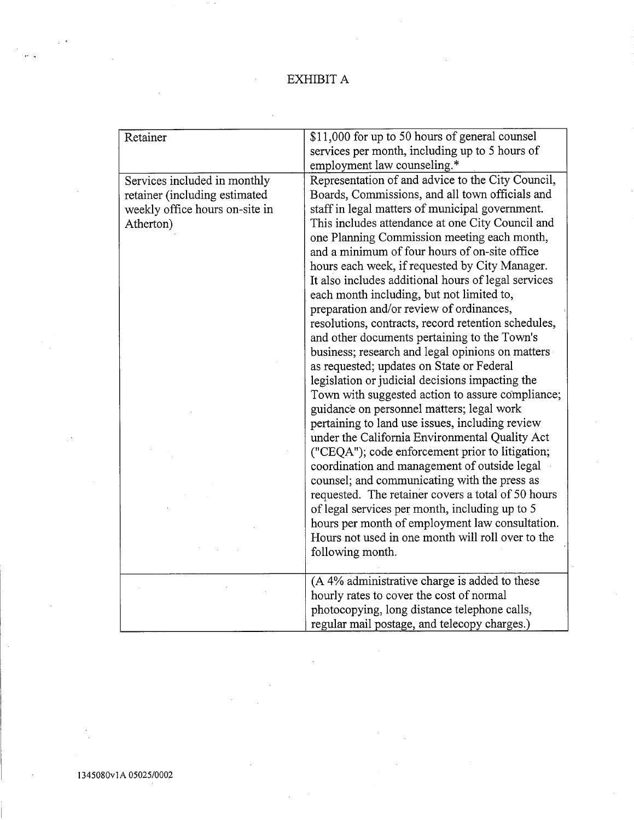## EXHIBIT  ${\bf A}$

| \$11,000 for up to 50 hours of general counsel                                |  |
|-------------------------------------------------------------------------------|--|
| services per month, including up to 5 hours of<br>employment law counseling.* |  |
|                                                                               |  |
| Representation of and advice to the City Council,                             |  |
| Boards, Commissions, and all town officials and                               |  |
|                                                                               |  |
| This includes attendance at one City Council and                              |  |
| one Planning Commission meeting each month,                                   |  |
|                                                                               |  |
| hours each week, if requested by City Manager.                                |  |
| It also includes additional hours of legal services                           |  |
|                                                                               |  |
|                                                                               |  |
| resolutions, contracts, record retention schedules,                           |  |
|                                                                               |  |
| business; research and legal opinions on matters                              |  |
|                                                                               |  |
|                                                                               |  |
| Town with suggested action to assure compliance;                              |  |
|                                                                               |  |
|                                                                               |  |
| under the California Environmental Quality Act                                |  |
| ("CEQA"); code enforcement prior to litigation;                               |  |
|                                                                               |  |
|                                                                               |  |
| requested. The retainer covers a total of 50 hours                            |  |
|                                                                               |  |
| hours per month of employment law consultation.                               |  |
| Hours not used in one month will roll over to the                             |  |
|                                                                               |  |
|                                                                               |  |
|                                                                               |  |
|                                                                               |  |
|                                                                               |  |
|                                                                               |  |
| staff in legal matters of municipal government.                               |  |

 $\overline{a}$